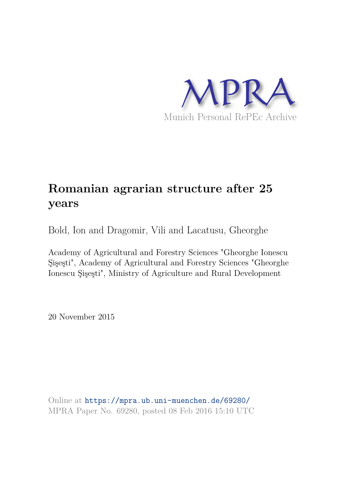

# **Romanian agrarian structure after 25 years**

Bold, Ion and Dragomir, Vili and Lacatusu, Gheorghe

Academy of Agricultural and Forestry Sciences "Gheorghe Ionescu Şişeşti", Academy of Agricultural and Forestry Sciences "Gheorghe Ionescu Şişeşti", Ministry of Agriculture and Rural Development

20 November 2015

Online at https://mpra.ub.uni-muenchen.de/69280/ MPRA Paper No. 69280, posted 08 Feb 2016 15:10 UTC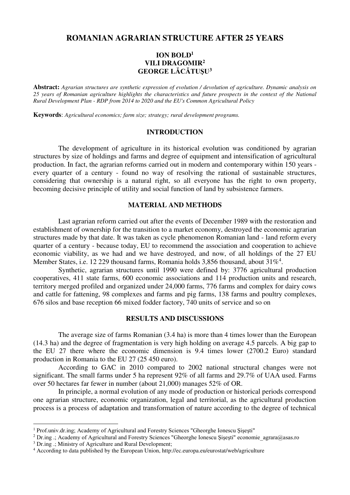# **ROMANIAN AGRARIAN STRUCTURE AFTER 25 YEARS**

## **ION BOLD<sup>1</sup> VILI DRAGOMIR<sup>2</sup> GEORGE LĂCĂTUŞU<sup>3</sup>**

**Abstract:** *Agrarian structures are synthetic expression of evolution / devolution of agriculture. Dynamic analysis on 25 years of Romanian agriculture highlights the characteristics and future prospects in the context of the National Rural Development Plan - RDP from 2014 to 2020 and the EU's Common Agricultural Policy* 

**Keywords**: *Agricultural economics; farm size; strategy; rural development programs.*

## **INTRODUCTION**

The development of agriculture in its historical evolution was conditioned by agrarian structures by size of holdings and farms and degree of equipment and intensification of agricultural production. In fact, the agrarian reforms carried out in modern and contemporary within 150 years every quarter of a century - found no way of resolving the rational of sustainable structures, considering that ownership is a natural right, so all everyone has the right to own property, becoming decisive principle of utility and social function of land by subsistence farmers.

## **MATERIAL AND METHODS**

Last agrarian reform carried out after the events of December 1989 with the restoration and establishment of ownership for the transition to a market economy, destroyed the economic agrarian structures made by that date. It was taken as cycle phenomenon Romanian land - land reform every quarter of a century - because today, EU to recommend the association and cooperation to achieve economic viability, as we had and we have destroyed, and now, of all holdings of the 27 EU Member States, i.e. 12 229 thousand farms, Romania holds 3,856 thousand, about  $31\%^4$ .

Synthetic, agrarian structures until 1990 were defined by: 3776 agricultural production cooperatives, 411 state farms, 600 economic associations and 114 production units and research, territory merged profiled and organized under 24,000 farms, 776 farms and complex for dairy cows and cattle for fattening, 98 complexes and farms and pig farms, 138 farms and poultry complexes, 676 silos and base reception 66 mixed fodder factory, 740 units of service and so on

### **RESULTS AND DISCUSSIONS**

The average size of farms Romanian (3.4 ha) is more than 4 times lower than the European (14.3 ha) and the degree of fragmentation is very high holding on average 4.5 parcels. A big gap to the EU 27 there where the economic dimension is 9.4 times lower (2700.2 Euro) standard production in Romania to the EU 27 (25 450 euro).

According to GAC in 2010 compared to 2002 national structural changes were not significant. The small farms under 5 ha represent 92% of all farms and 29.7% of UAA used. Farms over 50 hectares far fewer in number (about 21,000) manages 52% of OR.

In principle, a normal evolution of any mode of production or historical periods correspond one agrarian structure, economic organization, legal and territorial, as the agricultural production process is a process of adaptation and transformation of nature according to the degree of technical

 $\overline{a}$ 

<sup>&</sup>lt;sup>1</sup> Prof.univ.dr.ing; Academy of Agricultural and Forestry Sciences "Gheorghe Ionescu Şişeşti"

<sup>2</sup> Dr.ing .; Academy of Agricultural and Forestry Sciences "Gheorghe Ionescu Şişeşti" economie\_agrara@asas.ro

<sup>&</sup>lt;sup>3</sup> Dr.ing .; Ministry of Agriculture and Rural Development;

<sup>4</sup> According to data published by the European Union, http://ec.europa.eu/eurostat/web/agriculture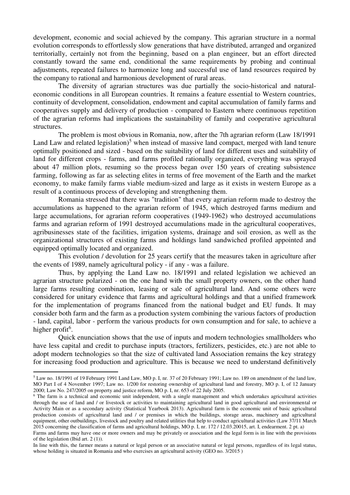development, economic and social achieved by the company. This agrarian structure in a normal evolution corresponds to effortlessly slow generations that have distributed, arranged and organized territorially, certainly not from the beginning, based on a plan engineer, but an effort directed constantly toward the same end, conditional the same requirements by probing and continual adjustments, repeated failures to harmonize long and successful use of land resources required by the company to rational and harmonious development of rural areas.

The diversity of agrarian structures was due partially the socio-historical and naturaleconomic conditions in all European countries. It remains a feature essential to Western countries, continuity of development, consolidation, endowment and capital accumulation of family farms and cooperatives supply and delivery of production - compared to Eastern where continuous repetition of the agrarian reforms had implications the sustainability of family and cooperative agricultural structures.

The problem is most obvious in Romania, now, after the 7th agrarian reform (Law 18/1991 Land Law and related legislation)<sup>5</sup> when instead of massive land compact, merged with land tenure optimally positioned and sized - based on the suitability of land for different uses and suitability of land for different crops - farms, and farms profiled rationally organized, everything was sprayed about 47 million plots, resuming so the process began over 150 years of creating subsistence farming, following as far as selecting elites in terms of free movement of the Earth and the market economy, to make family farms viable medium-sized and large as it exists in western Europe as a result of a continuous process of developing and strengthening them.

Romania stressed that there was "tradition" that every agrarian reform made to destroy the accumulations as happened to the agrarian reform of 1945, which destroyed farms medium and large accumulations, for agrarian reform cooperatives (1949-1962) who destroyed accumulations farms and agrarian reform of 1991 destroyed accumulations made in the agricultural cooperatives, agribusinesses state of the facilities, irrigation systems, drainage and soil erosion, as well as the organizational structures of existing farms and holdings land sandwiched profiled appointed and equipped optimally located and organized.

This evolution / devolution for 25 years certify that the measures taken in agriculture after the events of 1989, namely agricultural policy - if any - was a failure.

Thus, by applying the Land Law no. 18/1991 and related legislation we achieved an agrarian structure polarized - on the one hand with the small property owners, on the other hand large farms resulting combination, leasing or sale of agricultural land. And some others were considered for unitary evidence that farms and agricultural holdings and that a unified framework for the implementation of programs financed from the national budget and EU funds. It may consider both farm and the farm as a production system combining the various factors of production - land, capital, labor - perform the various products for own consumption and for sale, to achieve a higher profit<sup>6</sup>.

Quick enunciation shows that the use of inputs and modern technologies smallholders who have less capital and credit to purchase inputs (tractors, fertilizers, pesticides, etc.) are not able to adopt modern technologies so that the size of cultivated land Association remains the key strategy for increasing food production and agriculture. This is because we need to understand definitively

l,

<sup>&</sup>lt;sup>5</sup> Law no. 18/1991 of 19 February 1991 Land Law, MO p. I, nr. 37 of 20 February 1991; Law no. 189 on amendment of the land law, MO Part I of 4 November 1997; Law no. 1/200 for restoring ownership of agricultural land and forestry, MO p. I, of 12 January 2000; Law No. 247/2005 on property and justice reform, MO p. I, nr. 653 of 22 July 2005.

<sup>&</sup>lt;sup>6</sup> The farm is a technical and economic unit independent, with a single management and which undertakes agricultural activities through the use of land and / or livestock or activities to maintaining agricultural land in good agricultural and environmental or Activity Main or as a secondary activity (Statistical Yearbook 2013). Agricultural farm is the economic unit of basic agricultural production consists of agricultural land and / or premises in which the buildings, storage areas, machinery and agricultural equipment, other outbuildings, livestock and poultry and related utilities that help to conduct agricultural activities (Law 37/11 March 2015 concerning the classification of farms and agricultural holdings, MO p. I, nr. 172 / 12.03.20015, art. I, endearment. 2 pt. a)

Farms and farms may have one or more owners and may be privately or association and the legal form is in line with the provisions of the legislation (Ibid art. 2 (1)).

In line with this, the farmer means a natural or legal person or an associative natural or legal persons, regardless of its legal status, whose holding is situated in Romania and who exercises an agricultural activity (GEO no. 3/2015)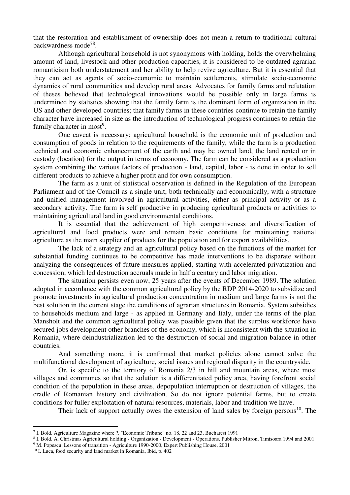that the restoration and establishment of ownership does not mean a return to traditional cultural backwardness mode<sup>78</sup>.

Although agricultural household is not synonymous with holding, holds the overwhelming amount of land, livestock and other production capacities, it is considered to be outdated agrarian romanticism both understatement and her ability to help revive agriculture. But it is essential that they can act as agents of socio-economic to maintain settlements, stimulate socio-economic dynamics of rural communities and develop rural areas. Advocates for family farms and refutation of theses believed that technological innovations would be possible only in large farms is undermined by statistics showing that the family farm is the dominant form of organization in the US and other developed countries; that family farms in these countries continue to retain the family character have increased in size as the introduction of technological progress continues to retain the family character in most<sup>9</sup>.

One caveat is necessary: agricultural household is the economic unit of production and consumption of goods in relation to the requirements of the family, while the farm is a production technical and economic enhancement of the earth and may be owned land, the land rented or in custody (location) for the output in terms of economy. The farm can be considered as a production system combining the various factors of production - land, capital, labor - is done in order to sell different products to achieve a higher profit and for own consumption.

The farm as a unit of statistical observation is defined in the Regulation of the European Parliament and of the Council as a single unit, both technically and economically, with a structure and unified management involved in agricultural activities, either as principal activity or as a secondary activity. The farm is self productive in producing agricultural products or activities to maintaining agricultural land in good environmental conditions.

It is essential that the achievement of high competitiveness and diversification of agricultural and food products were and remain basic conditions for maintaining national agriculture as the main supplier of products for the population and for export availabilities.

The lack of a strategy and an agricultural policy based on the functions of the market for substantial funding continues to be competitive has made interventions to be disparate without analyzing the consequences of future measures applied, starting with accelerated privatization and concession, which led destruction accruals made in half a century and labor migration.

The situation persists even now, 25 years after the events of December 1989. The solution adopted in accordance with the common agricultural policy by the RDP 2014-2020 to subsidize and promote investments in agricultural production concentration in medium and large farms is not the best solution in the current stage the conditions of agrarian structures in Romania. System subsidies to households medium and large - as applied in Germany and Italy, under the terms of the plan Mansholt and the common agricultural policy was possible given that the surplus workforce have secured jobs development other branches of the economy, which is inconsistent with the situation in Romania, where deindustrialization led to the destruction of social and migration balance in other countries.

And something more, it is confirmed that market policies alone cannot solve the multifunctional development of agriculture, social issues and regional disparity in the countryside.

Or, is specific to the territory of Romania 2/3 in hill and mountain areas, where most villages and communes so that the solution is a differentiated policy area, having forefront social condition of the population in these areas, depopulation interruption or destruction of villages, the cradle of Romanian history and civilization. So do not ignore potential farms, but to create conditions for fuller exploitation of natural resources, materials, labor and tradition we have.

Their lack of support actually owes the extension of land sales by foreign persons<sup>10</sup>. The

 $\overline{a}$ 

<sup>7</sup> I. Bold, Agriculture Magazine where ?, "Economic Tribune" no. 18, 22 and 23, Bucharest 1991

<sup>8</sup> I. Bold, A. Christmas Agricultural holding - Organization - Development - Operations, Publisher Mitron, Timisoara 1994 and 2001

<sup>&</sup>lt;sup>9</sup> M. Popescu, Lessons of transition - Agriculture 1990-2000, Expert Publishing House, 2001

<sup>10</sup> I. Luca, food security and land market in Romania, Ibid, p. 402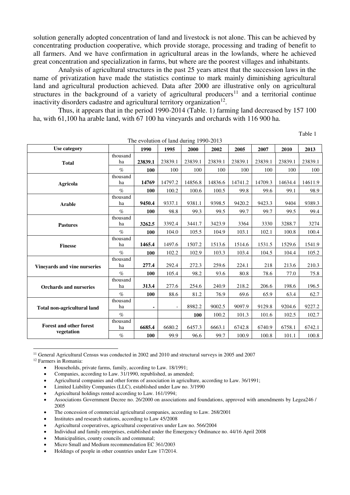solution generally adopted concentration of land and livestock is not alone. This can be achieved by concentrating production cooperative, which provide storage, processing and trading of benefit to all farmers. And we have confirmation in agricultural areas in the lowlands, where he achieved great concentration and specialization in farms, but where are the poorest villages and inhabitants.

Analysis of agricultural structures in the past 25 years attest that the succession laws in the name of privatization have made the statistics continue to mark mainly diminishing agricultural land and agricultural production achieved. Data after 2000 are illustrative only on agricultural structures in the background of a variety of agricultural producers<sup>11</sup> and a territorial continue inactivity disorders cadastre and agricultural territory organization $12$ .

Thus, it appears that in the period 1990-2014 (Table. 1) farming land decreased by 157 100 ha, with 61,100 ha arable land, with 67 100 ha vineyards and orchards with 116 900 ha.

Table 1

| The evolution of land during 1990-2013 |                |         |         |            |         |         |         |         |         |  |
|----------------------------------------|----------------|---------|---------|------------|---------|---------|---------|---------|---------|--|
| Use category                           |                | 1990    | 1995    | 2000       | 2002    | 2005    | 2007    | 2010    | 2013    |  |
| <b>Total</b>                           | thousand<br>ha | 23839.1 | 23839.1 | 23839.1    | 23839.1 | 23839.1 | 23839.1 | 23839.1 | 23839.1 |  |
|                                        | $\%$           | 100     | 100     | 100        | 100     | 100     | 100     | 100     | 100     |  |
| Agricola                               | thousand<br>ha | 14769   | 14797.2 | 14856.8    | 14836.6 | 14741.2 | 14709.3 | 14634.4 | 14611.9 |  |
|                                        | $\%$           | 100     | 100.2   | 100.6      | 100.5   | 99.8    | 99.6    | 99.1    | 98.9    |  |
| <b>Arable</b>                          | thousand<br>ha | 9450.4  | 9337.1  | 9381.1     | 9398.5  | 9420.2  | 9423.3  | 9404    | 9389.3  |  |
|                                        | $\%$           | 100     | 98.8    | 99.3       | 99.5    | 99.7    | 99.7    | 99.5    | 99.4    |  |
| <b>Pastures</b>                        | thousand<br>ha | 3262.5  | 3392.4  | 3441.7     | 3423.9  | 3364    | 3330    | 3288.7  | 3274    |  |
|                                        | $\%$           | 100     | 104.0   | 105.5      | 104.9   | 103.1   | 102.1   | 100.8   | 100.4   |  |
| <b>Finesse</b>                         | thousand<br>ha | 1465.4  | 1497.6  | 1507.2     | 1513.6  | 1514.6  | 1531.5  | 1529.6  | 1541.9  |  |
|                                        | $\%$           | 100     | 102.2   | 102.9      | 103.3   | 103.4   | 104.5   | 104.4   | 105.2   |  |
| Vineyards and vine nurseries           | thousand<br>ha | 277.4   | 292.4   | 272.3      | 259.6   | 224.1   | 218     | 213.6   | 210.3   |  |
|                                        | $\%$           | 100     | 105.4   | 98.2       | 93.6    | 80.8    | 78.6    | 77.0    | 75.8    |  |
| <b>Orchards and nurseries</b>          | thousand<br>ha | 313.4   | 277.6   | 254.6      | 240.9   | 218.2   | 206.6   | 198.6   | 196.5   |  |
|                                        | $\%$           | 100     | 88.6    | 81.2       | 76.9    | 69.6    | 65.9    | 63.4    | 62.7    |  |
| Total non-agricultural land            | thousand<br>ha | ٠       |         | 8982.2     | 9002.5  | 9097.9  | 9129.8  | 9204.6  | 9227.2  |  |
|                                        | $\%$           |         |         | <b>100</b> | 100.2   | 101.3   | 101.6   | 102.5   | 102.7   |  |
| <b>Forest and other forest</b>         | thousand<br>ha | 6685.4  | 6680.2  | 6457.3     | 6663.1  | 6742.8  | 6740.9  | 6758.1  | 6742.1  |  |
| vegetation                             | $\%$           | 100     | 99.9    | 96.6       | 99.7    | 100.9   | 100.8   | 101.1   | 100.8   |  |

<sup>11</sup> General Agricultural Census was conducted in 2002 and 2010 and structural surveys in 2005 and 2007 <sup>12</sup> Farmers in Romania:

Households, private farms, family, according to Law. 18/1991;

Companies, according to Law. 31/1990, republished, as amended;

Agricultural companies and other forms of association in agriculture, according to Law. 36/1991;

Limited Liability Companies (LLC), established under Law no. 3/1990

Agricultural holdings rented according to Law. 161/1994;

• The concession of commercial agricultural companies, according to Law. 268/2001

Institutes and research stations, according to Law 45/2008

- Individual and family enterprises, established under the Emergency Ordinance no. 44/16 April 2008
- Municipalities, county councils and communal;

l,

Micro Small and Medium recommendation EC 361/2003

Associations Government Decree no. 26/2000 on associations and foundations, approved with amendments by Legea246 / 2005

Agricultural cooperatives, agricultural cooperatives under Law no. 566/2004

Holdings of people in other countries under Law 17/2014.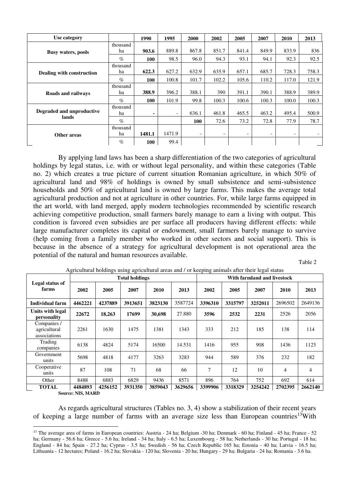| Use category                       |                | 1990   | 1995                     | 2000                     | 2002                     | 2005  | 2007                     | 2010                     | 2013  |
|------------------------------------|----------------|--------|--------------------------|--------------------------|--------------------------|-------|--------------------------|--------------------------|-------|
| <b>Busy waters, pools</b>          | thousand<br>ha | 903.6  | 889.8                    | 867.8                    | 851.7                    | 841.4 | 849.9                    | 833.9                    | 836   |
|                                    | $\%$           | 100    | 98.5                     | 96.0                     | 94.3                     | 93.1  | 94.1                     | 92.3                     | 92.5  |
| Dealing with construction          | thousand<br>ha | 622.3  | 627.2                    | 632.9                    | 635.9                    | 657.1 | 685.7                    | 728.3                    | 758.3 |
|                                    | $\%$           | 100    | 100.8                    | 101.7                    | 102.2                    | 105.6 | 110.2                    | 117.0                    | 121.9 |
| Roads and railways                 | thousand<br>ha | 388.9  | 396.2                    | 388.1                    | 390                      | 391.1 | 390.1                    | 388.9                    | 389.9 |
|                                    | $\%$           | 100    | 101.9                    | 99.8                     | 100.3                    | 100.6 | 100.3                    | 100.0                    | 100.3 |
| Degraded and unproductive<br>lands | thousand<br>ha | ۰.     | $\overline{\phantom{0}}$ | 636.1                    | 461.8                    | 465.5 | 463.2                    | 495.4                    | 500.9 |
|                                    | $\%$           |        |                          | 100                      | 72.6                     | 73.2  | 72.8                     | 77.9                     | 78.7  |
| Other areas                        | thousand<br>ha | 1481.1 | 1471.9                   | $\overline{\phantom{a}}$ | $\overline{\phantom{a}}$ | Ξ.    | $\overline{\phantom{0}}$ | $\overline{\phantom{0}}$ |       |
|                                    | $\%$           | 100    | 99.4                     |                          |                          |       |                          |                          |       |

By applying land laws has been a sharp differentiation of the two categories of agricultural holdings by legal status, i.e. with or without legal personality, and within these categories (Table no. 2) which creates a true picture of current situation Romanian agriculture, in which 50% of agricultural land and 98% of holdings is owned by small subsistence and semi-subsistence households and 50% of agricultural land is owned by large farms. This makes the average total agricultural production and not at agriculture in other countries. For, while large farms equipped in the art world, with land merged, apply modern technologies recommended by scientific research achieving competitive production, small farmers barely manage to earn a living with output. This condition is favored even subsidies are per surface all producers having different effects: while large manufacturer completes its capital or endowment, small farmers barely manage to survive (help coming from a family member who worked in other sectors and social support). This is because in the absence of a strategy for agricultural development is not operational area the potential of the natural and human resources available.

Table 2

|                                             |         |         | <b>Total holdings</b> |         |         | With farmland and livestock |         |         |         |         |  |  |
|---------------------------------------------|---------|---------|-----------------------|---------|---------|-----------------------------|---------|---------|---------|---------|--|--|
| Legal status of<br>farms                    | 2002    | 2005    | 2007                  | 2010    | 2013    | 2002                        | 2005    | 2007    | 2010    | 2013    |  |  |
| <b>Individual farm</b>                      | 4462221 | 4237889 | 3913651               | 3823130 | 3587724 | 3396310                     | 3315797 | 3252011 | 2696502 | 2649136 |  |  |
| Units with legal<br>personality             | 22672   | 18,263  | 17699                 | 30,698  | 27.880  | 3596                        | 2532    | 2231    | 2526    | 2056    |  |  |
| Companies /<br>agricultural<br>associations | 2261    | 1630    | 1475                  | 1381    | 1343    | 333                         | 212     | 185     | 138     | 114     |  |  |
| Trading<br>companies                        | 6138    | 4824    | 5174                  | 16500   | 14.531  | 1416                        | 955     | 908     | 1436    | 1123    |  |  |
| Government<br>units                         | 5698    | 4818    | 4177                  | 3263    | 3283    | 944                         | 589     | 376     | 232     | 182     |  |  |
| Cooperative<br>units                        | 87      | 108     | 71                    | 68      | 66      | 7                           | 12      | 10      | 4       | 4       |  |  |
| Other                                       | 8488    | 6883    | 6829                  | 9436    | 8571    | 896                         | 764     | 752     | 692     | 614     |  |  |
| TOTAL                                       | 4484893 | 4256152 | 3931350               | 3859043 | 3629656 | 3399906                     | 3318329 | 3254242 | 2702395 | 2662140 |  |  |

| Agricultural holdings using agricultural areas and / or keeping animals after their legal status |  |
|--------------------------------------------------------------------------------------------------|--|
|--------------------------------------------------------------------------------------------------|--|

**Source: NIS, MARD** 

 $\overline{a}$ 

As regards agricultural structures (Tables no. 3, 4) show a stabilization of their recent years of keeping a large number of farms with an average size less than European countries<sup>13</sup>With

<sup>&</sup>lt;sup>13</sup> The average area of farms in European countries: Austria - 24 ha; Belgium -30 ha; Denmark - 60 ha; Finland - 45 ha; France - 52 ha; Germany - 56.6 ha; Greece - 5.6 ha; Ireland - 34 ha; Italy - 6.5 ha; Luxembourg - 58 ha; Netherlands - 30 ha; Portugal - 18 ha; England - 84 ha; Spain - 27.2 ha; Cyprus - 3.5 ha; Swedish - 56 ha; Czech Republic 165 ha; Estonia - 40 ha; Latvia - 16.5 ha; Lithuania - 12 hectares; Poland - 16.2 ha; Slovakia - 120 ha; Slovenia - 20 ha; Hungary - 29 ha; Bulgaria - 24 ha; Romania - 3.6 ha.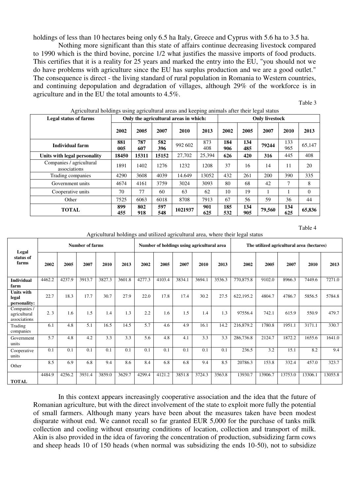holdings of less than 10 hectares being only 6.5 ha Italy, Greece and Cyprus with 5.6 ha to 3.5 ha.

Nothing more significant than this state of affairs continue decreasing livestock compared to 1990 which is the third bovine, porcine 1/2 what justifies the massive imports of food products. This certifies that it is a reality for 25 years and marked the entry into the EU, "you should not we do have problems with agriculture since the EU has surplus production and we are a good outlet." The consequence is direct - the living standard of rural population in Romania to Western countries, and continuing depopulation and degradation of villages, although 29% of the workforce is in agriculture and in the EU the total amounts to 4.5%.

| 7 ightahanan holdings asing aghtahanan artas and Keeping annilais anth their legal status |            |            |            |                                       |                       |            |            |        |            |              |  |  |  |
|-------------------------------------------------------------------------------------------|------------|------------|------------|---------------------------------------|-----------------------|------------|------------|--------|------------|--------------|--|--|--|
| <b>Legal status of farms</b>                                                              |            |            |            | Only the agricultural areas in which: | <b>Only livestock</b> |            |            |        |            |              |  |  |  |
|                                                                                           | 2002       | 2005       | 2007       | 2010                                  | 2013                  | 2002       | 2005       | 2007   | 2010       | 2013         |  |  |  |
| Individual farm                                                                           | 881<br>005 | 787<br>607 | 582<br>396 | 992 602                               | 873<br>408            | 184<br>906 | 134<br>485 | 79244  | 133<br>965 | 65,147       |  |  |  |
| Units with legal personality                                                              | 18450      | 15311      | 15152      | 27,702                                | 25,394                | 626        | 420        | 316    | 445        | 408          |  |  |  |
| Companies / agricultural<br>associations                                                  | 1891       | 1402       | 1276       | 1232                                  | 1208                  | 37         | 16         | 14     | 11         | 20           |  |  |  |
| Trading companies                                                                         | 4290       | 3608       | 4039       | 14.649                                | 13052                 | 432        | 261        | 200    | 390        | 335          |  |  |  |
| Government units                                                                          | 4674       | 4161       | 3759       | 3024                                  | 3093                  | 80         | 68         | 42     | 7          | 8            |  |  |  |
| Cooperative units                                                                         | 70         | 77         | 60         | 63                                    | 62                    | 10         | 19         |        |            | $\mathbf{0}$ |  |  |  |
| Other                                                                                     | 7525       | 6063       | 6018       | 8708                                  | 7913                  | 67         | 56         | 59     | 36         | 44           |  |  |  |
| <b>TOTAL</b>                                                                              | 899<br>455 | 802<br>918 | 597<br>548 | 1021937                               | 901<br>625            | 185<br>532 | 134<br>905 | 79,560 | 134<br>625 | 65,836       |  |  |  |

Agricultural holdings using agricultural areas and keeping animals after their legal status

Table 4

Table 3

Agricultural holdings and utilized agricultural area, where their legal status

| Legal                                       |        |        | <b>Number of farms</b> |        |        |        |        |        | Number of holdings using agricultural area |        | The utilized agricultural area (hectares) |         |         |         |         |
|---------------------------------------------|--------|--------|------------------------|--------|--------|--------|--------|--------|--------------------------------------------|--------|-------------------------------------------|---------|---------|---------|---------|
| status of<br>farms                          | 2002   | 2005   | 2007                   | 2010   | 2013   | 2002   | 2005   | 2007   | 2010                                       | 2013   | 2002                                      | 2005    | 2007    | 2010    | 2013    |
| <b>Individual</b><br>farm                   | 4462.2 | 4237.9 | 3913.7                 | 3827.3 | 3601.8 | 4277.3 | 4103.4 | 3834.1 | 3694.1                                     | 3536.3 | 770,875.8                                 | 9102.0  | 8966.3  | 7449.6  | 7271.0  |
| <b>Units with</b><br>legal<br>personality:  | 22.7   | 18.3   | 17.7                   | 30.7   | 27.9   | 22.0   | 17.8   | 17.4   | 30.2                                       | 27.5   | 622,195.2                                 | 4804.7  | 4786.7  | 5856.5  | 5784.8  |
| Companies /<br>agricultural<br>associations | 2.3    | 1.6    | 1.5                    | 1.4    | 1.3    | 2.2    | 1.6    | 1.5    | 1.4                                        | 1.3    | 97556.4                                   | 742.1   | 615.9   | 550.9   | 479.7   |
| Trading<br>companies                        | 6.1    | 4.8    | 5.1                    | 16.5   | 14.5   | 5.7    | 4.6    | 4.9    | 16.1                                       | 14.2   | 216,879.2                                 | 1780.8  | 1951.1  | 3171.1  | 330.7   |
| Government<br>units                         | 5.7    | 4.8    | 4.2                    | 3.3    | 3.3    | 5.6    | 4.8    | 4.1    | 3.3                                        | 3.3    | 286,736.8                                 | 2124.7  | 1872.2  | 1655.6  | 1641.0  |
| Cooperative<br>units                        | 0.1    | 0.1    | 0.1                    | 0.1    | 0.1    | 0.1    | 0.1    | 0.1    | 0.1                                        | 0.1    | 236.5                                     | 3.2     | 15.1    | 8.2     | 9.4     |
| Other                                       | 8.5    | 6.9    | 6.8                    | 9.4    | 8.6    | 8.4    | 6.8    | 6.8    | 9.4                                        | 8.5    | 20786.3                                   | 153.8   | 332.4   | 457.0   | 323.7   |
| <b>TOTAL</b>                                | 4484.9 | 4256.2 | 3931.4                 | 3859.0 | 3629.7 | 4299.4 | 4121.2 | 3851.8 | 3724.3                                     | 3563.8 | 13930.7                                   | 13906.7 | 13753.0 | 13306.1 | 13055.8 |

In this context appears increasingly cooperative association and the idea that the future of Romanian agriculture, but with the direct involvement of the state to exploit more fully the potential of small farmers. Although many years have been about the measures taken have been modest disparate without end. We cannot recall so far granted EUR 5,000 for the purchase of tanks milk collection and cooling without ensuring conditions of location, collection and transport of milk. Akin is also provided in the idea of favoring the concentration of production, subsidizing farm cows and sheep heads 10 of 150 heads (when normal was subsidizing the ends 10-50), not to subsidize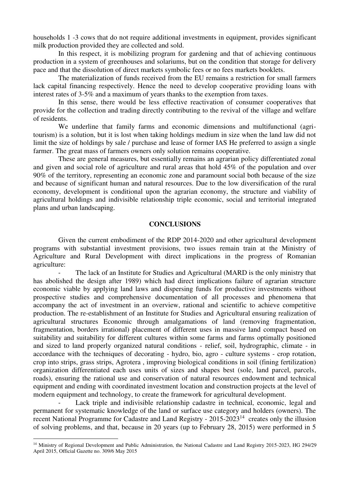households 1 -3 cows that do not require additional investments in equipment, provides significant milk production provided they are collected and sold.

In this respect, it is mobilizing program for gardening and that of achieving continuous production in a system of greenhouses and solariums, but on the condition that storage for delivery pace and that the dissolution of direct markets symbolic fees or no fees markets booklets.

The materialization of funds received from the EU remains a restriction for small farmers lack capital financing respectively. Hence the need to develop cooperative providing loans with interest rates of 3-5% and a maximum of years thanks to the exemption from taxes.

In this sense, there would be less effective reactivation of consumer cooperatives that provide for the collection and trading directly contributing to the revival of the village and welfare of residents.

We underline that family farms and economic dimensions and multifunctional (agritourism) is a solution, but it is lost when taking holdings medium in size when the land law did not limit the size of holdings by sale / purchase and lease of former IAS He preferred to assign a single farmer. The great mass of farmers owners only solution remains cooperative.

These are general measures, but essentially remains an agrarian policy differentiated zonal and given and social role of agriculture and rural areas that hold 45% of the population and over 90% of the territory, representing an economic zone and paramount social both because of the size and because of significant human and natural resources. Due to the low diversification of the rural economy, development is conditional upon the agrarian economy, the structure and viability of agricultural holdings and indivisible relationship triple economic, social and territorial integrated plans and urban landscaping.

#### **CONCLUSIONS**

Given the current embodiment of the RDP 2014-2020 and other agricultural development programs with substantial investment provisions, two issues remain train at the Ministry of Agriculture and Rural Development with direct implications in the progress of Romanian agriculture:

The lack of an Institute for Studies and Agricultural (MARD is the only ministry that has abolished the design after 1989) which had direct implications failure of agrarian structure economic viable by applying land laws and dispersing funds for productive investments without prospective studies and comprehensive documentation of all processes and phenomena that accompany the act of investment in an overview, rational and scientific to achieve competitive production. The re-establishment of an Institute for Studies and Agricultural ensuring realization of agricultural structures Economic through amalgamations of land (removing fragmentation, fragmentation, borders irrational) placement of different uses in massive land compact based on suitability and suitability for different cultures within some farms and farms optimally positioned and sized to land properly organized natural conditions - relief, soil, hydrographic, climate - in accordance with the techniques of decorating - hydro, bio, agro - culture systems - crop rotation, crop into strips, grass strips, Agrotera , improving biological conditions in soil (fining fertilization) organization differentiated each uses units of sizes and shapes best (sole, land parcel, parcels, roads), ensuring the rational use and conservation of natural resources endowment and technical equipment and ending with coordinated investment location and construction projects at the level of modern equipment and technology, to create the framework for agricultural development.

Lack triple and indivisible relationship cadastre in technical, economic, legal and permanent for systematic knowledge of the land or surface use category and holders (owners). The recent National Programme for Cadastre and Land Registry - 2015-2023<sup>14</sup> creates only the illusion of solving problems, and that, because in 20 years (up to February 28, 2015) were performed in 5

 $\overline{a}$ 

<sup>&</sup>lt;sup>14</sup> Ministry of Regional Development and Public Administration, the National Cadastre and Land Registry 2015-2023, HG 294/29 April 2015, Official Gazette no. 309/6 May 2015